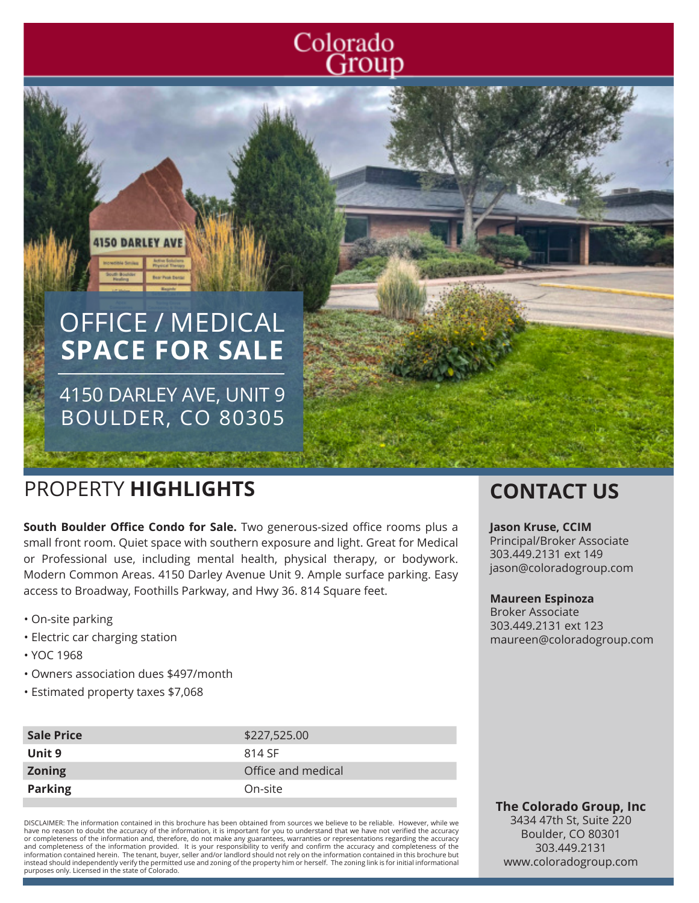## Colorado Group

# OFFICE / MEDICAL **SPACE FOR SALE**

4150 DARLEY AVE, UNIT 9 BOULDER, CO 80305

### PROPERTY **HIGHLIGHTS CONTACT US**

**4150 DARLEY AT** 

**South Boulder Office Condo for Sale.** Two generous-sized office rooms plus a small front room. Quiet space with southern exposure and light. Great for Medical or Professional use, including mental health, physical therapy, or bodywork. Modern Common Areas. 4150 Darley Avenue Unit 9. Ample surface parking. Easy access to Broadway, Foothills Parkway, and Hwy 36. 814 Square feet.

- On-site parking
- Electric car charging station
- YOC 1968
- Owners association dues \$497/month
- Estimated property taxes \$7,068

| <b>Sale Price</b> | \$227,525.00       |
|-------------------|--------------------|
| Unit 9            | 814 SF             |
| <b>Zoning</b>     | Office and medical |
| <b>Parking</b>    | On-site            |
|                   |                    |

DISCLAIMER: The information contained in this brochure has been obtained from sources we believe to be reliable. However, while we have no reason to doubt the accuracy of the information, it is important for you to understand that we have not verified the accuracy or completeness of the information and, therefore, do not make any guarantees, warranties or representations regarding the accuracy<br>and completeness of the information provided. It is your responsibility to verify and con information contained herein. The tenant, buyer, seller and/or landlord should not rely on the information contained in this brochure but instead should independently verify the permitted use and zoning of the property him or herself. The zoning link is for initial informational purposes only. Licensed in the state of Colorado.

#### **Jason Kruse, CCIM**

Principal/Broker Associate 303.449.2131 ext 149 jason@coloradogroup.com

#### **Maureen Espinoza**

Broker Associate 303.449.2131 ext 123 maureen@coloradogroup.com

**The Colorado Group, Inc** 3434 47th St, Suite 220 Boulder, CO 80301 303.449.2131 www.coloradogroup.com